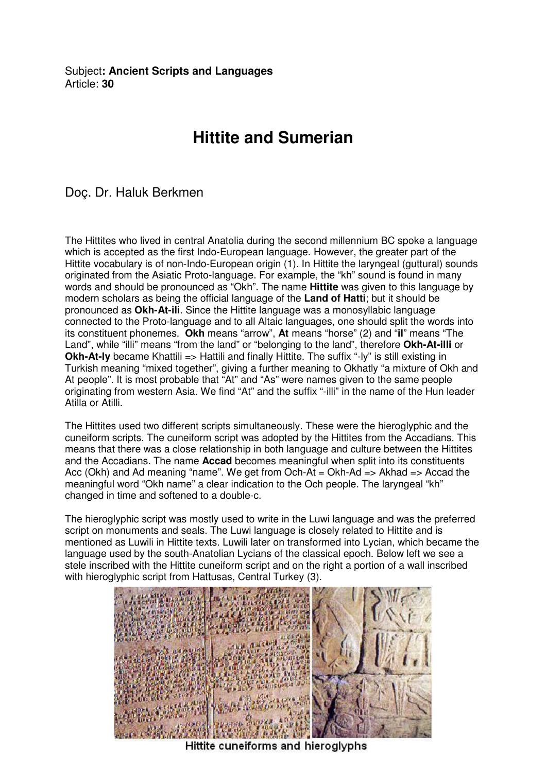Subject**: Ancient Scripts and Languages**  Article: **30**

## **Hittite and Sumerian**

## Doç. Dr. Haluk Berkmen

The Hittites who lived in central Anatolia during the second millennium BC spoke a language which is accepted as the first Indo-European language. However, the greater part of the Hittite vocabulary is of non-Indo-European origin (1). In Hittite the laryngeal (guttural) sounds originated from the Asiatic Proto-language. For example, the "kh" sound is found in many words and should be pronounced as "Okh". The name **Hittite** was given to this language by modern scholars as being the official language of the **Land of Hatti**; but it should be pronounced as **Okh-At-ili**. Since the Hittite language was a monosyllabic language connected to the Proto-language and to all Altaic languages, one should split the words into its constituent phonemes. **Okh** means "arrow", **At** means "horse" (2) and "**il**" means "The Land", while "illi" means "from the land" or "belonging to the land", therefore **Okh-At-illi** or **Okh-At-Iy** became Khattili => Hattili and finally Hittite. The suffix "-ly" is still existing in Turkish meaning "mixed together", giving a further meaning to Okhatly "a mixture of Okh and At people". It is most probable that "At" and "As" were names given to the same people originating from western Asia. We find "At" and the suffix "-illi" in the name of the Hun leader Atilla or Atilli.

The Hittites used two different scripts simultaneously. These were the hieroglyphic and the cuneiform scripts. The cuneiform script was adopted by the Hittites from the Accadians. This means that there was a close relationship in both language and culture between the Hittites and the Accadians. The name **Accad** becomes meaningful when split into its constituents Acc (Okh) and Ad meaning "name". We get from Och-At = Okh-Ad => Akhad => Accad the meaningful word "Okh name" a clear indication to the Och people. The laryngeal "kh" changed in time and softened to a double-c.

The hieroglyphic script was mostly used to write in the Luwi language and was the preferred script on monuments and seals. The Luwi language is closely related to Hittite and is mentioned as Luwili in Hittite texts. Luwili later on transformed into Lycian, which became the language used by the south-Anatolian Lycians of the classical epoch. Below left we see a stele inscribed with the Hittite cuneiform script and on the right a portion of a wall inscribed with hieroglyphic script from Hattusas, Central Turkey (3).



Hittite cuneiforms and hieroglyphs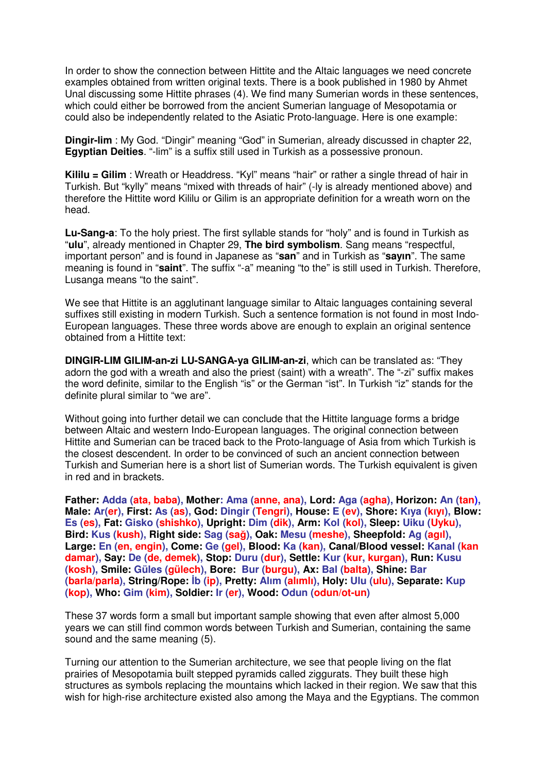In order to show the connection between Hittite and the Altaic languages we need concrete examples obtained from written original texts. There is a book published in 1980 by Ahmet Unal discussing some Hittite phrases (4). We find many Sumerian words in these sentences, which could either be borrowed from the ancient Sumerian language of Mesopotamia or could also be independently related to the Asiatic Proto-language. Here is one example:

**Dingir-lim** : My God. "Dingir" meaning "God" in Sumerian, already discussed in chapter 22, **Egyptian Deities**. "-lim" is a suffix still used in Turkish as a possessive pronoun.

**Kililu = Gilim** : Wreath or Headdress. "Kyl" means "hair" or rather a single thread of hair in Turkish. But "kylly" means "mixed with threads of hair" (-ly is already mentioned above) and therefore the Hittite word Kililu or Gilim is an appropriate definition for a wreath worn on the head.

**Lu-Sang-a**: To the holy priest. The first syllable stands for "holy" and is found in Turkish as "**ulu**", already mentioned in Chapter 29, **The bird symbolism**. Sang means "respectful, important person" and is found in Japanese as "**san**" and in Turkish as "**sayın**". The same meaning is found in "**saint**". The suffix "-a" meaning "to the" is still used in Turkish. Therefore, Lusanga means "to the saint".

We see that Hittite is an agglutinant language similar to Altaic languages containing several suffixes still existing in modern Turkish. Such a sentence formation is not found in most Indo-European languages. These three words above are enough to explain an original sentence obtained from a Hittite text:

**DINGIR-LIM GILIM-an-zi LU-SANGA-ya GILIM-an-zi**, which can be translated as: "They adorn the god with a wreath and also the priest (saint) with a wreath". The "-zi" suffix makes the word definite, similar to the English "is" or the German "ist". In Turkish "iz" stands for the definite plural similar to "we are".

Without going into further detail we can conclude that the Hittite language forms a bridge between Altaic and western Indo-European languages. The original connection between Hittite and Sumerian can be traced back to the Proto-language of Asia from which Turkish is the closest descendent. In order to be convinced of such an ancient connection between Turkish and Sumerian here is a short list of Sumerian words. The Turkish equivalent is given in red and in brackets.

**Father: Adda (ata, baba), Mother: Ama (anne, ana), Lord: Aga (agha), Horizon: An (tan), Male: Ar(er), First: As (as), God: Dingir (Tengri), House: E (ev), Shore: Kıya (kıyı), Blow: Es (es), Fat: Gisko (shishko), Upright: Dim (dik), Arm: Kol (kol), Sleep: Uiku (Uyku), Bird: Kus (kush), Right side: Sag (sa**ğ**), Oak: Mesu (meshe), Sheepfold: Ag (agıl), Large: En (en, engin), Come: Ge (gel), Blood: Ka (kan), Canal/Blood vessel: Kanal (kan damar), Say: De (de, demek), Stop: Duru (dur), Settle: Kur (kur, kurgan), Run: Kusu (kosh), Smile: Güles (gülech), Bore: Bur (burgu), Ax: Bal (balta), Shine: Bar (barla/parla), String/Rope:** İ**b (ip), Pretty: Alım (alımlı), Holy: Ulu (ulu), Separate: Kup (kop), Who: Gim (kim), Soldier: Ir (er), Wood: Odun (odun/ot-un)** 

These 37 words form a small but important sample showing that even after almost 5,000 years we can still find common words between Turkish and Sumerian, containing the same sound and the same meaning (5).

Turning our attention to the Sumerian architecture, we see that people living on the flat prairies of Mesopotamia built stepped pyramids called ziggurats. They built these high structures as symbols replacing the mountains which lacked in their region. We saw that this wish for high-rise architecture existed also among the Maya and the Egyptians. The common